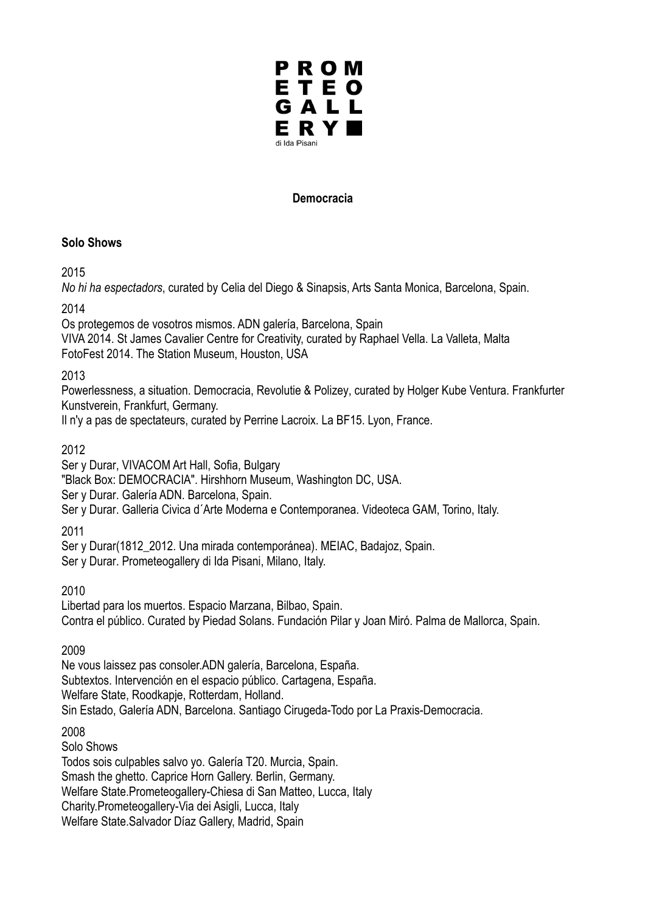

#### **Democracia**

#### **Solo Shows**

2015

*No hi ha espectadors*, curated by Celia del Diego & Sinapsis, Arts Santa Monica, Barcelona, Spain.

2014

Os protegemos de vosotros mismos. ADN galería, Barcelona, Spain

VIVA 2014. St James Cavalier Centre for Creativity, curated by Raphael Vella. La Valleta, Malta FotoFest 2014. The Station Museum, Houston, USA

## 2013

Powerlessness, a situation. Democracia, Revolutie & Polizey, curated by Holger Kube Ventura. Frankfurter Kunstverein, Frankfurt, Germany.

Il n'y a pas de spectateurs, curated by Perrine Lacroix. La BF15. Lyon, France.

## 2012

Ser y Durar, VIVACOM Art Hall, Sofia, Bulgary

"Black Box: DEMOCRACIA". Hirshhorn Museum, Washington DC, USA.

Ser y Durar. Galería ADN. Barcelona, Spain.

Ser y Durar. Galleria Civica d´Arte Moderna e Contemporanea. Videoteca GAM, Torino, Italy.

2011

Ser y Durar(1812\_2012. Una mirada contemporánea). MEIAC, Badajoz, Spain. Ser y Durar. Prometeogallery di Ida Pisani, Milano, Italy.

2010

Libertad para los muertos. Espacio Marzana, Bilbao, Spain. Contra el público. Curated by Piedad Solans. Fundación Pilar y Joan Miró. Palma de Mallorca, Spain.

2009

Ne vous laissez pas consoler.ADN galería, Barcelona, España. Subtextos. Intervención en el espacio público. Cartagena, España. Welfare State, Roodkapje, Rotterdam, Holland. Sin Estado, Galería ADN, Barcelona. Santiago Cirugeda-Todo por La Praxis-Democracia.

2008

Solo Shows Todos sois culpables salvo yo. Galería T20. Murcia, Spain. Smash the ghetto. Caprice Horn Gallery. Berlin, Germany. Welfare State.Prometeogallery-Chiesa di San Matteo, Lucca, Italy Charity.Prometeogallery-Via dei Asigli, Lucca, Italy Welfare State.Salvador Díaz Gallery, Madrid, Spain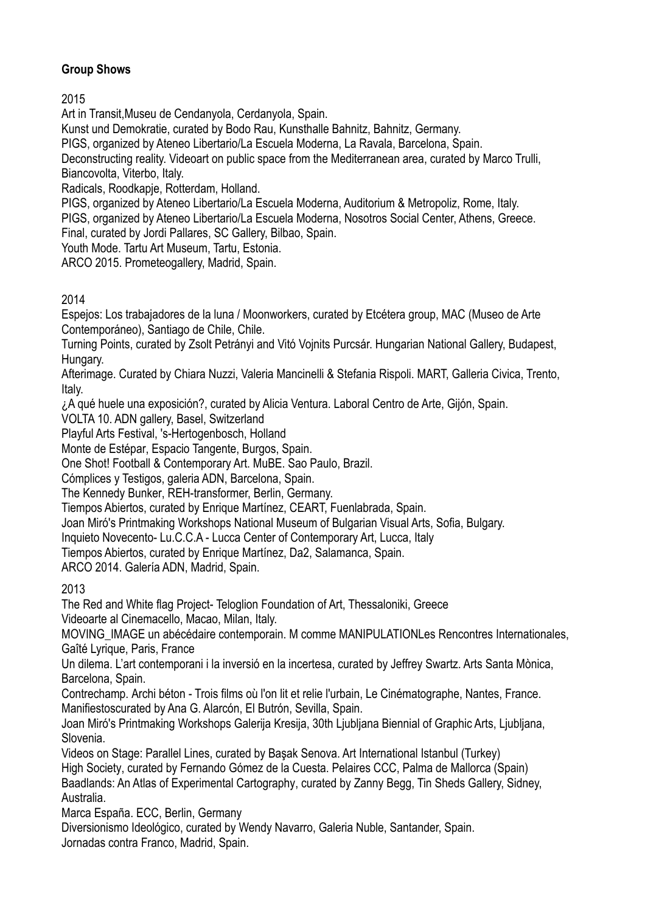# **Group Shows**

2015

Art in Transit,Museu de Cendanyola, Cerdanyola, Spain.

Kunst und Demokratie, curated by Bodo Rau, Kunsthalle Bahnitz, Bahnitz, Germany.

PIGS, organized by Ateneo Libertario/La Escuela Moderna, La Ravala, Barcelona, Spain.

Deconstructing reality. Videoart on public space from the Mediterranean area, curated by Marco Trulli, Biancovolta, Viterbo, Italy.

Radicals, Roodkapje, Rotterdam, Holland.

PIGS, organized by Ateneo Libertario/La Escuela Moderna, Auditorium & Metropoliz, Rome, Italy.

PIGS, organized by Ateneo Libertario/La Escuela Moderna, Nosotros Social Center, Athens, Greece. Final, curated by Jordi Pallares, SC Gallery, Bilbao, Spain.

Youth Mode. Tartu Art Museum, Tartu, Estonia.

ARCO 2015. Prometeogallery, Madrid, Spain.

# 2014

Espejos: Los trabajadores de la luna / Moonworkers, curated by Etcétera group, MAC (Museo de Arte Contemporáneo), Santiago de Chile, Chile.

Turning Points, curated by Zsolt Petrányi and Vitó Vojnits Purcsár. Hungarian National Gallery, Budapest, Hungary.

Afterimage. Curated by Chiara Nuzzi, Valeria Mancinelli & Stefania Rispoli. MART, Galleria Civica, Trento, Italy.

¿A qué huele una exposición?, curated by Alicia Ventura. Laboral Centro de Arte, Gijón, Spain.

VOLTA 10. ADN gallery, Basel, Switzerland

Playful Arts Festival, 's-Hertogenbosch, Holland

Monte de Estépar, Espacio Tangente, Burgos, Spain.

One Shot! Football & Contemporary Art. MuBE. Sao Paulo, Brazil.

Cómplices y Testigos, galeria ADN, Barcelona, Spain.

The Kennedy Bunker, REH-transformer, Berlin, Germany.

Tiempos Abiertos, curated by Enrique Martínez, CEART, Fuenlabrada, Spain.

Joan Miró's Printmaking Workshops National Museum of Bulgarian Visual Arts, Sofia, Bulgary.

Inquieto Novecento- Lu.C.C.A - Lucca Center of Contemporary Art, Lucca, Italy

Tiempos Abiertos, curated by Enrique Martínez, Da2, Salamanca, Spain.

ARCO 2014. Galería ADN, Madrid, Spain.

2013

The Red and White flag Project- Teloglion Foundation of Art, Thessaloniki, Greece Videoarte al Cinemacello, Macao, Milan, Italy.

MOVING IMAGE un abécédaire contemporain. M comme MANIPULATIONLes Rencontres Internationales, Gaîté Lyrique, Paris, France

Un dilema. L'art contemporani i la inversió en la incertesa, curated by Jeffrey Swartz. Arts Santa Mònica, Barcelona, Spain.

Contrechamp. Archi béton - Trois films où l'on lit et relie l'urbain, Le Cinématographe, Nantes, France. Manifiestoscurated by Ana G. Alarcón, El Butrón, Sevilla, Spain.

Joan Miró's Printmaking Workshops Galerija Kresija, 30th Ljubljana Biennial of Graphic Arts, Ljubljana, Slovenia.

Videos on Stage: Parallel Lines, curated by Başak Senova. Art International Istanbul (Turkey) High Society, curated by Fernando Gómez de la Cuesta. Pelaires CCC, Palma de Mallorca (Spain) Baadlands: An Atlas of Experimental Cartography, curated by Zanny Begg, Tin Sheds Gallery, Sidney, Australia.

Marca España. ECC, Berlin, Germany

Diversionismo Ideológico, curated by Wendy Navarro, Galeria Nuble, Santander, Spain. Jornadas contra Franco, Madrid, Spain.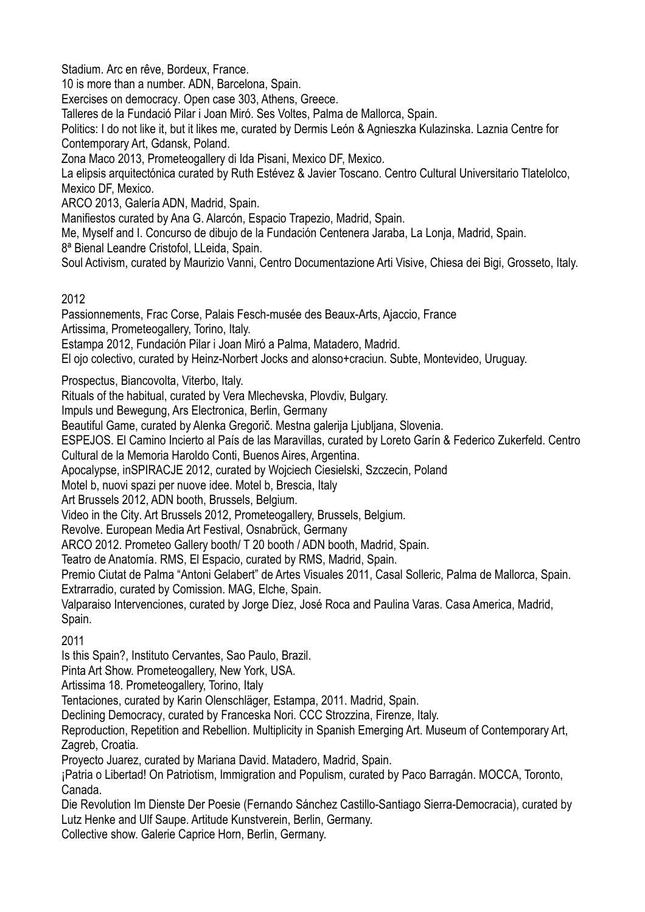Stadium. Arc en rêve, Bordeux, France.

10 is more than a number. ADN, Barcelona, Spain.

Exercises on democracy. Open case 303, Athens, Greece.

Talleres de la Fundació Pilar i Joan Miró. Ses Voltes, Palma de Mallorca, Spain.

Politics: I do not like it, but it likes me, curated by Dermis León & Agnieszka Kulazinska. Laznia Centre for Contemporary Art, Gdansk, Poland.

Zona Maco 2013, Prometeogallery di Ida Pisani, Mexico DF, Mexico.

La elipsis arquitectónica curated by Ruth Estévez & Javier Toscano. Centro Cultural Universitario Tlatelolco, Mexico DF, Mexico.

ARCO 2013, Galería ADN, Madrid, Spain.

Manifiestos curated by Ana G. Alarcón, Espacio Trapezio, Madrid, Spain.

Me, Myself and I. Concurso de dibujo de la Fundación Centenera Jaraba, La Lonja, Madrid, Spain.

8ª Bienal Leandre Cristofol, LLeida, Spain.

Soul Activism, curated by Maurizio Vanni, Centro Documentazione Arti Visive, Chiesa dei Bigi, Grosseto, Italy.

## 2012

Passionnements, Frac Corse, Palais Fesch-musée des Beaux-Arts, Ajaccio, France Artissima, Prometeogallery, Torino, Italy.

Estampa 2012, Fundación Pilar i Joan Miró a Palma, Matadero, Madrid.

El ojo colectivo, curated by Heinz-Norbert Jocks and alonso+craciun. Subte, Montevideo, Uruguay.

Prospectus, Biancovolta, Viterbo, Italy.

Rituals of the habitual, curated by Vera Mlechevska, Plovdiv, Bulgary.

Impuls und Bewegung, Ars Electronica, Berlin, Germany

Beautiful Game, curated by Alenka Gregorič. Mestna galerija Ljubljana, Slovenia.

ESPEJOS. El Camino Incierto al País de las Maravillas, curated by Loreto Garín & Federico Zukerfeld. Centro Cultural de la Memoria Haroldo Conti, Buenos Aires, Argentina.

Apocalypse, inSPIRACJE 2012, curated by Wojciech Ciesielski, Szczecin, Poland

Motel b, nuovi spazi per nuove idee. Motel b, Brescia, Italy

Art Brussels 2012, ADN booth, Brussels, Belgium.

Video in the City. Art Brussels 2012, Prometeogallery, Brussels, Belgium.

Revolve. European Media Art Festival, Osnabrück, Germany

ARCO 2012. Prometeo Gallery booth/ T 20 booth / ADN booth, Madrid, Spain.

Teatro de Anatomía. RMS, El Espacio, curated by RMS, Madrid, Spain.

Premio Ciutat de Palma "Antoni Gelabert" de Artes Visuales 2011, Casal Solleric, Palma de Mallorca, Spain. Extrarradio, curated by Comission. MAG, Elche, Spain.

Valparaiso Intervenciones, curated by Jorge Díez, José Roca and Paulina Varas. Casa America, Madrid, Spain.

## 2011

Is this Spain?, Instituto Cervantes, Sao Paulo, Brazil.

Pinta Art Show. Prometeogallery, New York, USA.

Artissima 18. Prometeogallery, Torino, Italy

Tentaciones, curated by Karin Olenschläger, Estampa, 2011. Madrid, Spain.

Declining Democracy, curated by Franceska Nori. CCC Strozzina, Firenze, Italy.

Reproduction, Repetition and Rebellion. Multiplicity in Spanish Emerging Art. Museum of Contemporary Art, Zagreb, Croatia.

Proyecto Juarez, curated by Mariana David. Matadero, Madrid, Spain.

¡Patria o Libertad! On Patriotism, Immigration and Populism, curated by Paco Barragán. MOCCA, Toronto, Canada.

Die Revolution Im Dienste Der Poesie (Fernando Sánchez Castillo-Santiago Sierra-Democracia), curated by Lutz Henke and Ulf Saupe. Artitude Kunstverein, Berlin, Germany.

Collective show. Galerie Caprice Horn, Berlin, Germany.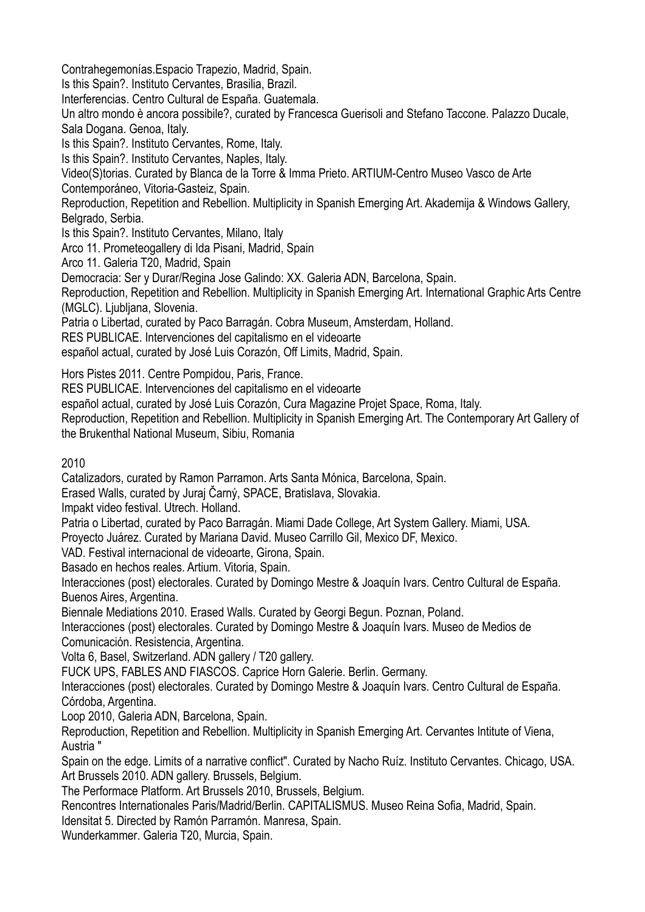Contrahegemonías.Espacio Trapezio, Madrid, Spain.

Is this Spain?. Instituto Cervantes, Brasilia, Brazil.

Interferencias. Centro Cultural de España. Guatemala.

Un altro mondo è ancora possibile?, curated by Francesca Guerisoli and Stefano Taccone. Palazzo Ducale, Sala Dogana. Genoa, Italy.

Is this Spain?. Instituto Cervantes, Rome, Italy.

Is this Spain?. Instituto Cervantes, Naples, Italy.

Video(S)torias. Curated by Blanca de la Torre & Imma Prieto. ARTIUM-Centro Museo Vasco de Arte Contemporáneo, Vitoria-Gasteiz, Spain.

Reproduction, Repetition and Rebellion. Multiplicity in Spanish Emerging Art. Akademija & Windows Gallery, Belgrado, Serbia.

Is this Spain?. Instituto Cervantes, Milano, Italy

Arco 11. Prometeogallery di Ida Pisani, Madrid, Spain

Arco 11. Galeria T20, Madrid, Spain

Democracia: Ser y Durar/Regina Jose Galindo: XX. Galeria ADN, Barcelona, Spain.

Reproduction, Repetition and Rebellion. Multiplicity in Spanish Emerging Art. International Graphic Arts Centre (MGLC). Ljubljana, Slovenia.

Patria o Libertad, curated by Paco Barragán. Cobra Museum, Amsterdam, Holland.

RES PUBLICAE. Intervenciones del capitalismo en el videoarte

español actual, curated by José Luis Corazón, Off Limits, Madrid, Spain.

Hors Pistes 2011. Centre Pompidou, Paris, France.

RES PUBLICAE. Intervenciones del capitalismo en el videoarte

español actual, curated by José Luis Corazón, Cura Magazine Projet Space, Roma, Italy.

Reproduction, Repetition and Rebellion. Multiplicity in Spanish Emerging Art. The Contemporary Art Gallery of the Brukenthal National Museum, Sibiu, Romania

2010

Catalizadors, curated by Ramon Parramon. Arts Santa Mónica, Barcelona, Spain.

Erased Walls, curated by Juraj Čarný, SPACE, Bratislava, Slovakia.

Impakt video festival. Utrech. Holland.

Patria o Libertad, curated by Paco Barragán. Miami Dade College, Art System Gallery. Miami, USA.

Proyecto Juárez. Curated by Mariana David. Museo Carrillo Gil, Mexico DF, Mexico.

VAD. Festival internacional de videoarte, Girona, Spain.

Basado en hechos reales. Artium. Vitoria, Spain.

Interacciones (post) electorales. Curated by Domingo Mestre & Joaquín Ivars. Centro Cultural de España. Buenos Aires, Argentina.

Biennale Mediations 2010. Erased Walls. Curated by Georgi Begun. Poznan, Poland.

Interacciones (post) electorales. Curated by Domingo Mestre & Joaquín Ivars. Museo de Medios de Comunicación. Resistencia, Argentina.

Volta 6, Basel, Switzerland. ADN gallery / T20 gallery.

FUCK UPS, FABLES AND FIASCOS. Caprice Horn Galerie. Berlin. Germany.

Interacciones (post) electorales. Curated by Domingo Mestre & Joaquín Ivars. Centro Cultural de España. Córdoba, Argentina.

Loop 2010, Galeria ADN, Barcelona, Spain.

Reproduction, Repetition and Rebellion. Multiplicity in Spanish Emerging Art. Cervantes Intitute of Viena, Austria "

Spain on the edge. Limits of a narrative conflict". Curated by Nacho Ruíz. Instituto Cervantes. Chicago, USA. Art Brussels 2010. ADN gallery. Brussels, Belgium.

The Performace Platform. Art Brussels 2010, Brussels, Belgium.

Rencontres Internationales Paris/Madrid/Berlin. CAPITALISMUS. Museo Reina Sofia, Madrid, Spain.

Idensitat 5. Directed by Ramón Parramón. Manresa, Spain.

Wunderkammer. Galeria T20, Murcia, Spain.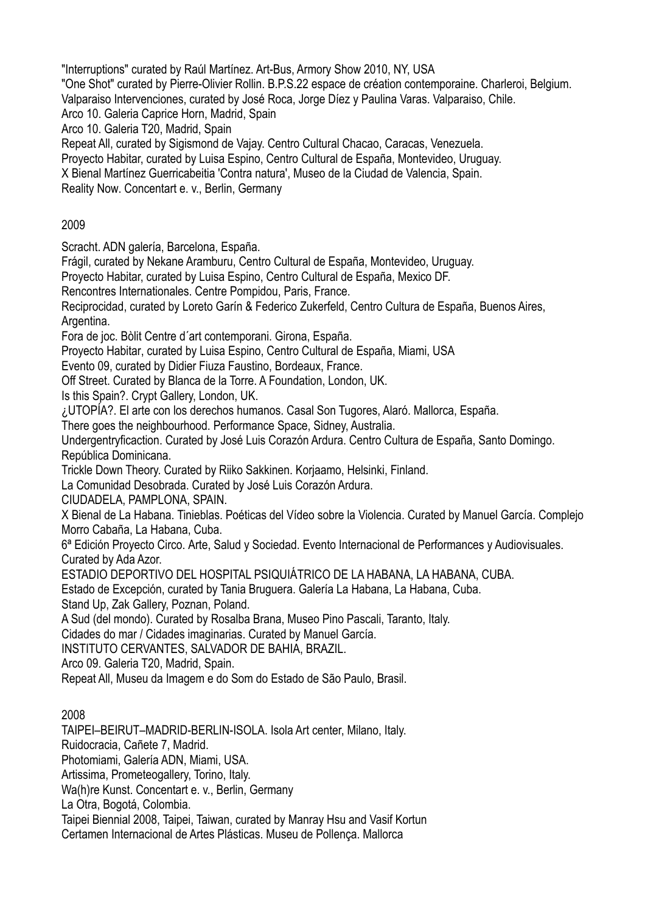"Interruptions" curated by Raúl Martínez. Art-Bus, Armory Show 2010, NY, USA

"One Shot" curated by Pierre-Olivier Rollin. B.P.S.22 espace de création contemporaine. Charleroi, Belgium.

Valparaiso Intervenciones, curated by José Roca, Jorge Díez y Paulina Varas. Valparaiso, Chile.

Arco 10. Galeria Caprice Horn, Madrid, Spain

Arco 10. Galeria T20, Madrid, Spain

Repeat All, curated by Sigismond de Vajay. Centro Cultural Chacao, Caracas, Venezuela.

Proyecto Habitar, curated by Luisa Espino, Centro Cultural de España, Montevideo, Uruguay.

X Bienal Martínez Guerricabeitia 'Contra natura', Museo de la Ciudad de Valencia, Spain.

Reality Now. Concentart e. v., Berlin, Germany

## 2009

Scracht. ADN galería, Barcelona, España.

Frágil, curated by Nekane Aramburu, Centro Cultural de España, Montevideo, Uruguay.

Proyecto Habitar, curated by Luisa Espino, Centro Cultural de España, Mexico DF.

Rencontres Internationales. Centre Pompidou, Paris, France.

Reciprocidad, curated by Loreto Garín & Federico Zukerfeld, Centro Cultura de España, Buenos Aires, Argentina.

Fora de joc. Bòlit Centre d´art contemporani. Girona, España.

Proyecto Habitar, curated by Luisa Espino, Centro Cultural de España, Miami, USA

Evento 09, curated by Didier Fiuza Faustino, Bordeaux, France.

Off Street. Curated by Blanca de la Torre. A Foundation, London, UK.

Is this Spain?. Crypt Gallery, London, UK.

¿UTOPÍA?. El arte con los derechos humanos. Casal Son Tugores, Alaró. Mallorca, España.

There goes the neighbourhood. Performance Space, Sidney, Australia.

Undergentryficaction. Curated by José Luis Corazón Ardura. Centro Cultura de España, Santo Domingo. República Dominicana.

Trickle Down Theory. Curated by Riiko Sakkinen. Korjaamo, Helsinki, Finland.

La Comunidad Desobrada. Curated by José Luis Corazón Ardura.

CIUDADELA, PAMPLONA, SPAIN.

X Bienal de La Habana. Tinieblas. Poéticas del Vídeo sobre la Violencia. Curated by Manuel García. Complejo Morro Cabaña, La Habana, Cuba.

6ª Edición Proyecto Circo. Arte, Salud y Sociedad. Evento Internacional de Performances y Audiovisuales. Curated by Ada Azor.

ESTADIO DEPORTIVO DEL HOSPITAL PSIQUIÁTRICO DE LA HABANA, LA HABANA, CUBA.

Estado de Excepción, curated by Tania Bruguera. Galería La Habana, La Habana, Cuba.

Stand Up, Zak Gallery, Poznan, Poland.

A Sud (del mondo). Curated by Rosalba Brana, Museo Pino Pascali, Taranto, Italy.

Cidades do mar / Cidades imaginarias. Curated by Manuel García.

INSTITUTO CERVANTES, SALVADOR DE BAHIA, BRAZIL.

Arco 09. Galeria T20, Madrid, Spain.

Repeat All, Museu da Imagem e do Som do Estado de São Paulo, Brasil.

## 2008

TAIPEI–BEIRUT–MADRID-BERLIN-ISOLA. Isola Art center, Milano, Italy.

Ruidocracia, Cañete 7, Madrid.

Photomiami, Galería ADN, Miami, USA.

Artissima, Prometeogallery, Torino, Italy.

Wa(h)re Kunst. Concentart e. v., Berlin, Germany

La Otra, Bogotá, Colombia.

Taipei Biennial 2008, Taipei, Taiwan, curated by Manray Hsu and Vasif Kortun

Certamen Internacional de Artes Plásticas. Museu de Pollença. Mallorca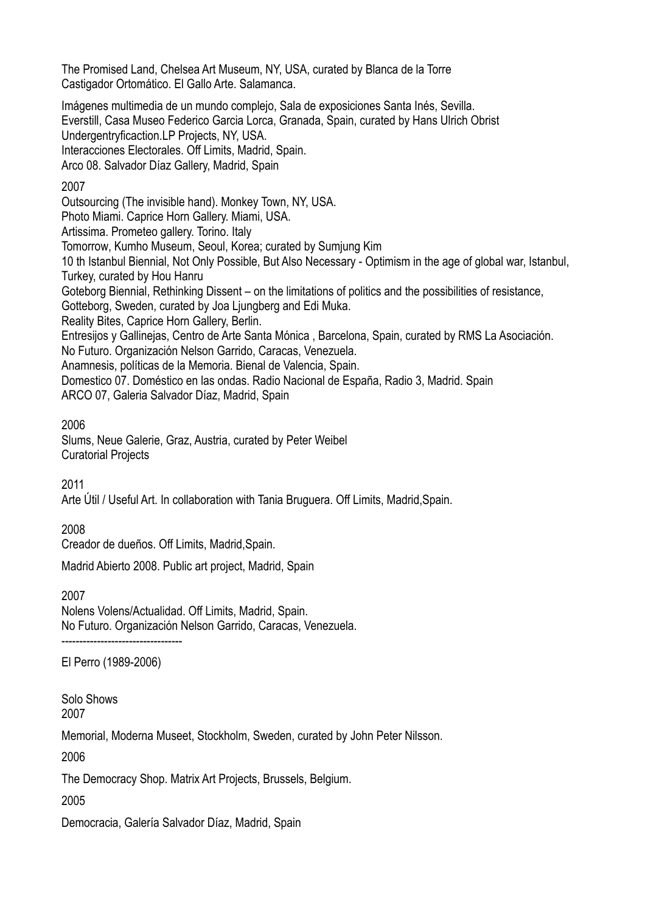The Promised Land, Chelsea Art Museum, NY, USA, curated by Blanca de la Torre Castigador Ortomático. El Gallo Arte. Salamanca.

Imágenes multimedia de un mundo complejo, Sala de exposiciones Santa Inés, Sevilla. Everstill, Casa Museo Federico Garcia Lorca, Granada, Spain, curated by Hans Ulrich Obrist Undergentryficaction.LP Projects, NY, USA. Interacciones Electorales. Off Limits, Madrid, Spain. Arco 08. Salvador Díaz Gallery, Madrid, Spain

#### 2007

Outsourcing (The invisible hand). Monkey Town, NY, USA. Photo Miami. Caprice Horn Gallery. Miami, USA. Artissima. Prometeo gallery. Torino. Italy Tomorrow, Kumho Museum, Seoul, Korea; curated by Sumjung Kim 10 th Istanbul Biennial, Not Only Possible, But Also Necessary - Optimism in the age of global war, Istanbul, Turkey, curated by Hou Hanru Goteborg Biennial, Rethinking Dissent – on the limitations of politics and the possibilities of resistance, Gotteborg, Sweden, curated by Joa Ljungberg and Edi Muka. Reality Bites, Caprice Horn Gallery, Berlin. Entresijos y Gallinejas, Centro de Arte Santa Mónica , Barcelona, Spain, curated by RMS La Asociación. No Futuro. Organización Nelson Garrido, Caracas, Venezuela. Anamnesis, políticas de la Memoria. Bienal de Valencia, Spain. Domestico 07. Doméstico en las ondas. Radio Nacional de España, Radio 3, Madrid. Spain ARCO 07, Galeria Salvador Díaz, Madrid, Spain

2006

Slums, Neue Galerie, Graz, Austria, curated by Peter Weibel Curatorial Projects

2011

Arte Útil / Useful Art. In collaboration with Tania Bruguera. Off Limits, Madrid,Spain.

2008

Creador de dueños. Off Limits, Madrid,Spain.

Madrid Abierto 2008. Public art project, Madrid, Spain

2007

Nolens Volens/Actualidad. Off Limits, Madrid, Spain. No Futuro. Organización Nelson Garrido, Caracas, Venezuela. ----------------------------------

El Perro (1989-2006)

Solo Shows 2007

Memorial, Moderna Museet, Stockholm, Sweden, curated by John Peter Nilsson.

2006

The Democracy Shop. Matrix Art Projects, Brussels, Belgium.

2005

Democracia, Galería Salvador Díaz, Madrid, Spain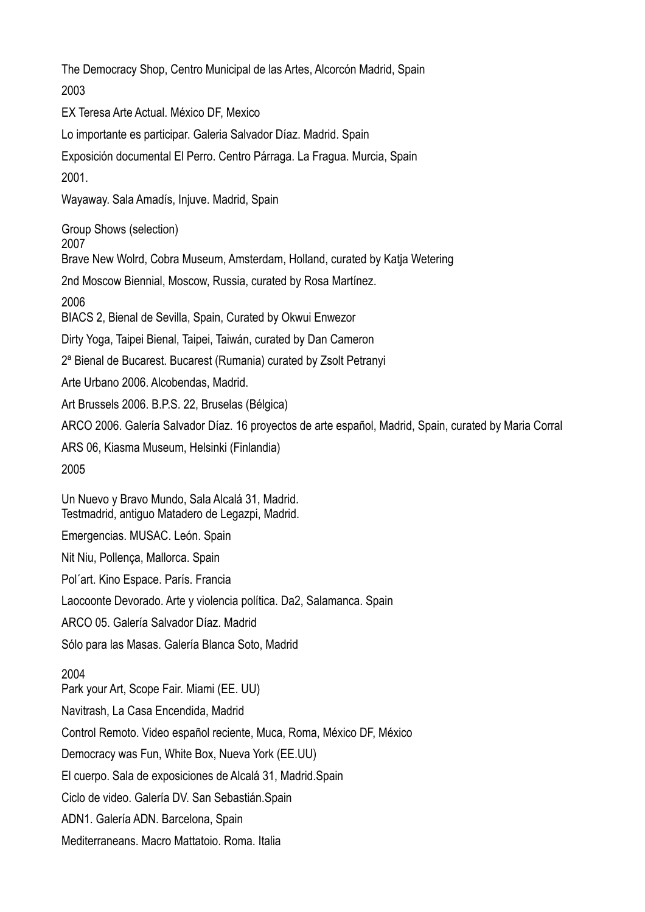The Democracy Shop, Centro Municipal de las Artes, Alcorcón Madrid, Spain 2003 EX Teresa Arte Actual. México DF, Mexico Lo importante es participar. Galeria Salvador Díaz. Madrid. Spain Exposición documental El Perro. Centro Párraga. La Fragua. Murcia, Spain 2001. Wayaway. Sala Amadís, Injuve. Madrid, Spain Group Shows (selection) 2007 Brave New Wolrd, Cobra Museum, Amsterdam, Holland, curated by Katja Wetering 2nd Moscow Biennial, Moscow, Russia, curated by Rosa Martínez. 2006 BIACS 2, Bienal de Sevilla, Spain, Curated by Okwui Enwezor Dirty Yoga, Taipei Bienal, Taipei, Taiwán, curated by Dan Cameron 2ª Bienal de Bucarest. Bucarest (Rumania) curated by Zsolt Petranyi Arte Urbano 2006. Alcobendas, Madrid. Art Brussels 2006. B.P.S. 22, Bruselas (Bélgica) ARCO 2006. Galería Salvador Díaz. 16 proyectos de arte español, Madrid, Spain, curated by Maria Corral ARS 06, Kiasma Museum, Helsinki (Finlandia) 2005 Un Nuevo y Bravo Mundo, Sala Alcalá 31, Madrid. Testmadrid, antiguo Matadero de Legazpi, Madrid. Emergencias. MUSAC. León. Spain Nit Niu, Pollença, Mallorca. Spain Pol´art. Kino Espace. París. Francia Laocoonte Devorado. Arte y violencia política. Da2, Salamanca. Spain ARCO 05. Galería Salvador Díaz. Madrid Sólo para las Masas. Galería Blanca Soto, Madrid 2004 Park your Art, Scope Fair. Miami (EE. UU) Navitrash, La Casa Encendida, Madrid Control Remoto. Video español reciente, Muca, Roma, México DF, México Democracy was Fun, White Box, Nueva York (EE.UU) El cuerpo. Sala de exposiciones de Alcalá 31, Madrid.Spain Ciclo de video. Galería DV. San Sebastián.Spain ADN1. Galería ADN. Barcelona, Spain Mediterraneans. Macro Mattatoio. Roma. Italia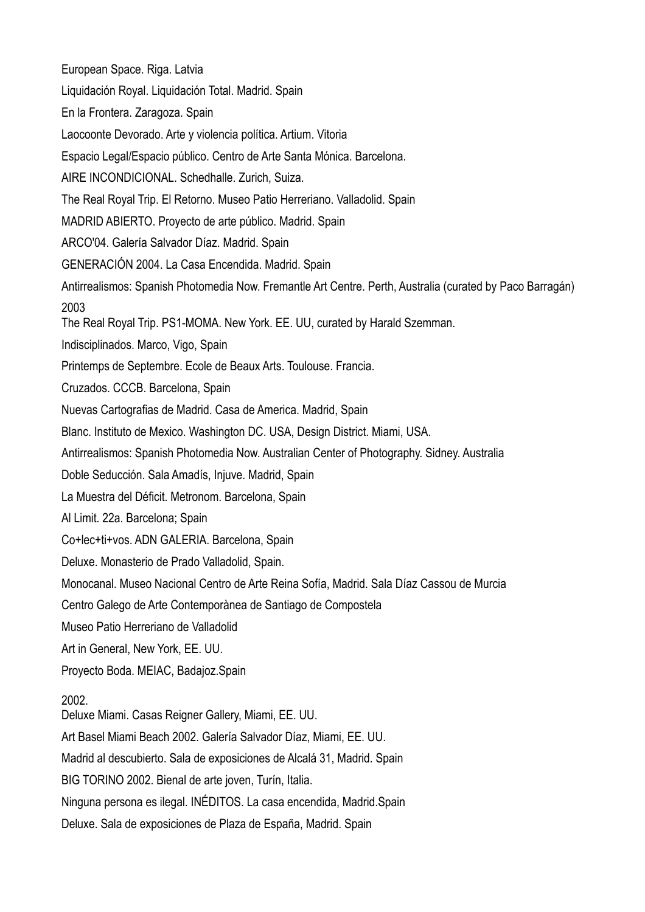European Space. Riga. Latvia Liquidación Royal. Liquidación Total. Madrid. Spain En la Frontera. Zaragoza. Spain Laocoonte Devorado. Arte y violencia política. Artium. Vitoria Espacio Legal/Espacio público. Centro de Arte Santa Mónica. Barcelona. AIRE INCONDICIONAL. Schedhalle. Zurich, Suiza. The Real Royal Trip. El Retorno. Museo Patio Herreriano. Valladolid. Spain MADRID ABIERTO. Proyecto de arte público. Madrid. Spain ARCO'04. Galería Salvador Díaz. Madrid. Spain GENERACIÓN 2004. La Casa Encendida. Madrid. Spain Antirrealismos: Spanish Photomedia Now. Fremantle Art Centre. Perth, Australia (curated by Paco Barragán) 2003 The Real Royal Trip. PS1-MOMA. New York. EE. UU, curated by Harald Szemman. Indisciplinados. Marco, Vigo, Spain Printemps de Septembre. Ecole de Beaux Arts. Toulouse. Francia. Cruzados. CCCB. Barcelona, Spain Nuevas Cartografias de Madrid. Casa de America. Madrid, Spain Blanc. Instituto de Mexico. Washington DC. USA, Design District. Miami, USA. Antirrealismos: Spanish Photomedia Now. Australian Center of Photography. Sidney. Australia Doble Seducción. Sala Amadís, Injuve. Madrid, Spain La Muestra del Déficit. Metronom. Barcelona, Spain Al Limit. 22a. Barcelona; Spain Co+lec+ti+vos. ADN GALERIA. Barcelona, Spain Deluxe. Monasterio de Prado Valladolid, Spain. Monocanal. Museo Nacional Centro de Arte Reina Sofía, Madrid. Sala Díaz Cassou de Murcia Centro Galego de Arte Contemporànea de Santiago de Compostela Museo Patio Herreriano de Valladolid Art in General, New York, EE. UU. Proyecto Boda. MEIAC, Badajoz.Spain 2002. Deluxe Miami. Casas Reigner Gallery, Miami, EE. UU. Art Basel Miami Beach 2002. Galería Salvador Díaz, Miami, EE. UU. Madrid al descubierto. Sala de exposiciones de Alcalá 31, Madrid. Spain BIG TORINO 2002. Bienal de arte joven, Turín, Italia. Ninguna persona es ilegal. INÉDITOS. La casa encendida, Madrid.Spain Deluxe. Sala de exposiciones de Plaza de España, Madrid. Spain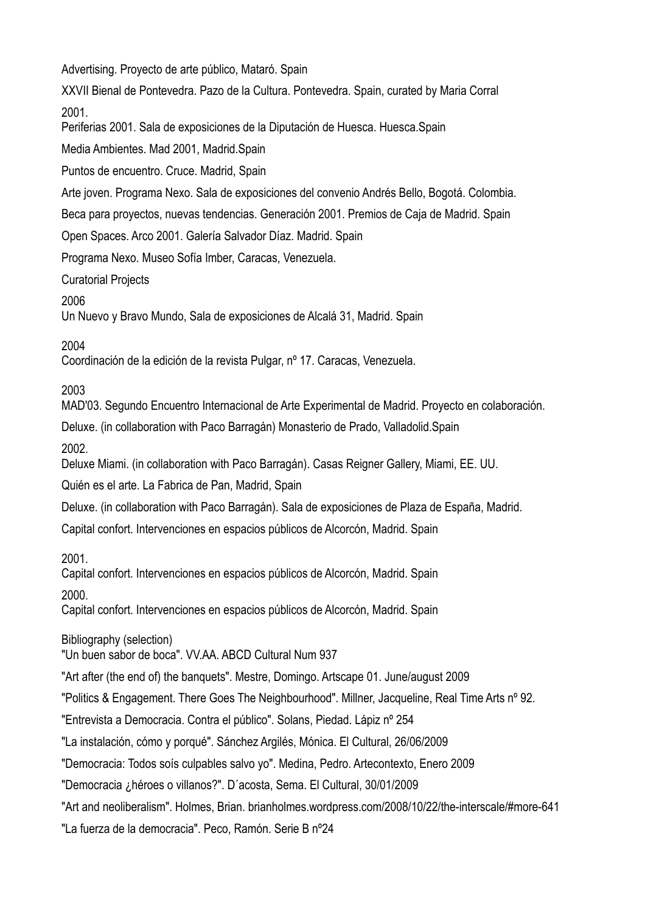Advertising. Proyecto de arte público, Mataró. Spain

XXVII Bienal de Pontevedra. Pazo de la Cultura. Pontevedra. Spain, curated by Maria Corral 2001.

Periferias 2001. Sala de exposiciones de la Diputación de Huesca. Huesca.Spain

Media Ambientes. Mad 2001, Madrid.Spain

Puntos de encuentro. Cruce. Madrid, Spain

Arte joven. Programa Nexo. Sala de exposiciones del convenio Andrés Bello, Bogotá. Colombia.

Beca para proyectos, nuevas tendencias. Generación 2001. Premios de Caja de Madrid. Spain

Open Spaces. Arco 2001. Galería Salvador Díaz. Madrid. Spain

Programa Nexo. Museo Sofía Imber, Caracas, Venezuela.

Curatorial Projects

2006

Un Nuevo y Bravo Mundo, Sala de exposiciones de Alcalá 31, Madrid. Spain

2004

Coordinación de la edición de la revista Pulgar, nº 17. Caracas, Venezuela.

2003

MAD'03. Segundo Encuentro Internacional de Arte Experimental de Madrid. Proyecto en colaboración.

Deluxe. (in collaboration with Paco Barragán) Monasterio de Prado, Valladolid.Spain

2002.

Deluxe Miami. (in collaboration with Paco Barragán). Casas Reigner Gallery, Miami, EE. UU.

Quién es el arte. La Fabrica de Pan, Madrid, Spain

Deluxe. (in collaboration with Paco Barragán). Sala de exposiciones de Plaza de España, Madrid.

Capital confort. Intervenciones en espacios públicos de Alcorcón, Madrid. Spain

2001.

Capital confort. Intervenciones en espacios públicos de Alcorcón, Madrid. Spain

2000.

Capital confort. Intervenciones en espacios públicos de Alcorcón, Madrid. Spain

Bibliography (selection)

"Un buen sabor de boca". VV.AA. ABCD Cultural Num 937

"Art after (the end of) the banquets". Mestre, Domingo. Artscape 01. June/august 2009

"Politics & Engagement. There Goes The Neighbourhood". Millner, Jacqueline, Real Time Arts nº 92.

"Entrevista a Democracia. Contra el público". Solans, Piedad. Lápiz nº 254

"La instalación, cómo y porqué". Sánchez Argilés, Mónica. El Cultural, 26/06/2009

"Democracia: Todos soís culpables salvo yo". Medina, Pedro. Artecontexto, Enero 2009

"Democracia ¿héroes o villanos?". D´acosta, Sema. El Cultural, 30/01/2009

"Art and neoliberalism". Holmes, Brian. brianholmes.wordpress.com/2008/10/22/the-interscale/#more-641

"La fuerza de la democracia". Peco, Ramón. Serie B nº24